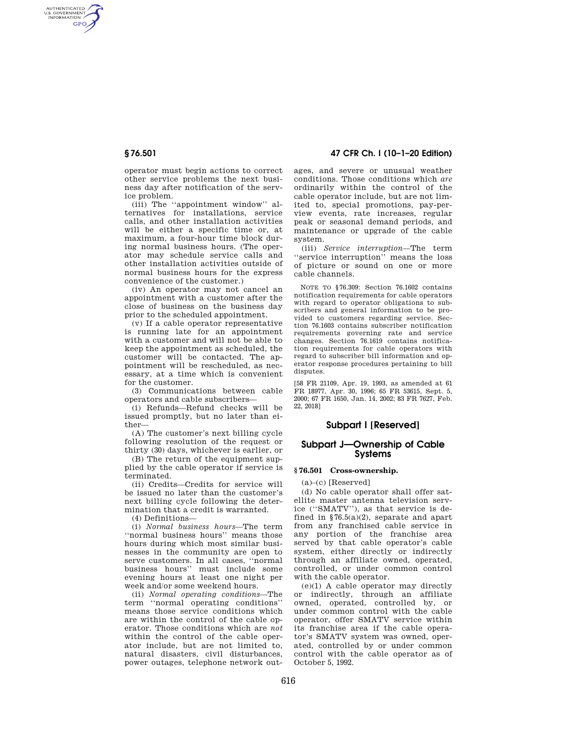AUTHENTICATED<br>U.S. GOVERNMENT<br>INFORMATION **GPO** 

> operator must begin actions to correct other service problems the next business day after notification of the service problem.

> (iii) The ''appointment window'' alternatives for installations, service calls, and other installation activities will be either a specific time or, at maximum, a four-hour time block during normal business hours. (The operator may schedule service calls and other installation activities outside of normal business hours for the express convenience of the customer.)

> (iv) An operator may not cancel an appointment with a customer after the close of business on the business day prior to the scheduled appointment.

(v) If a cable operator representative is running late for an appointment with a customer and will not be able to keep the appointment as scheduled, the customer will be contacted. The appointment will be rescheduled, as necessary, at a time which is convenient for the customer.

(3) Communications between cable operators and cable subscribers—

(i) Refunds—Refund checks will be issued promptly, but no later than either—

(A) The customer's next billing cycle following resolution of the request or thirty (30) days, whichever is earlier, or

(B) The return of the equipment supplied by the cable operator if service is terminated.

(ii) Credits—Credits for service will be issued no later than the customer's next billing cycle following the determination that a credit is warranted.

(4) Definitions—

(i) *Normal business hours*—The term ''normal business hours'' means those hours during which most similar businesses in the community are open to serve customers. In all cases, ''normal business hours'' must include some evening hours at least one night per week and/or some weekend hours.

(ii) *Normal operating conditions*—The term ''normal operating conditions'' means those service conditions which are within the control of the cable operator. Those conditions which are *not*  within the control of the cable operator include, but are not limited to, natural disasters, civil disturbances, power outages, telephone network out-

# **§ 76.501 47 CFR Ch. I (10–1–20 Edition)**

ages, and severe or unusual weather conditions. Those conditions which *are*  ordinarily within the control of the cable operator include, but are not limited to, special promotions, pay-perview events, rate increases, regular peak or seasonal demand periods, and maintenance or upgrade of the cable system.

(iii) *Service interruption*—The term ''service interruption'' means the loss of picture or sound on one or more cable channels.

NOTE TO §76.309: Section 76.1602 contains notification requirements for cable operators with regard to operator obligations to subscribers and general information to be provided to customers regarding service. Section 76.1603 contains subscriber notification requirements governing rate and service changes. Section 76.1619 contains notification requirements for cable operators with regard to subscriber bill information and operator response procedures pertaining to bill disputes.

[58 FR 21109, Apr. 19, 1993, as amended at 61 FR 18977, Apr. 30, 1996; 65 FR 53615, Sept. 5, 2000; 67 FR 1650, Jan. 14, 2002; 83 FR 7627, Feb. 22, 2018]

# **Subpart I [Reserved]**

## **Subpart J—Ownership of Cable Systems**

#### **§ 76.501 Cross-ownership.**

 $(a)$ – $(c)$  [Reserved]

(d) No cable operator shall offer satellite master antenna television service (''SMATV''), as that service is defined in  $$76.5(a)(2)$ , separate and apart from any franchised cable service in any portion of the franchise area served by that cable operator's cable system, either directly or indirectly through an affiliate owned, operated, controlled, or under common control with the cable operator.

(e)(1) A cable operator may directly or indirectly, through an affiliate owned, operated, controlled by, or under common control with the cable operator, offer SMATV service within its franchise area if the cable operator's SMATV system was owned, operated, controlled by or under common control with the cable operator as of October 5, 1992.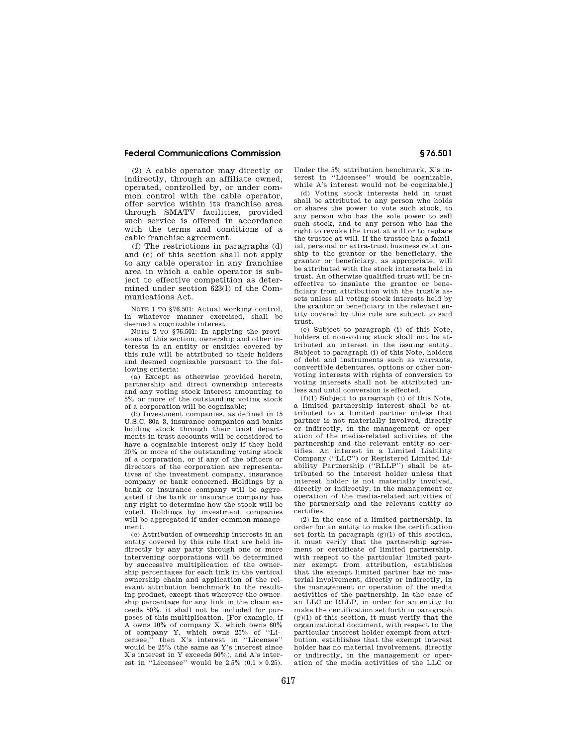## **Federal Communications Commission § 76.501**

(2) A cable operator may directly or indirectly, through an affiliate owned, operated, controlled by, or under common control with the cable operator, offer service within its franchise area through SMATV facilities, provided such service is offered in accordance with the terms and conditions of a cable franchise agreement.

(f) The restrictions in paragraphs (d) and (e) of this section shall not apply to any cable operator in any franchise area in which a cable operator is subject to effective competition as determined under section 623(l) of the Communications Act.

NOTE 1 TO §76.501: Actual working control, in whatever manner exercised, shall be deemed a cognizable interest.

NOTE 2 TO §76.501: In applying the provisions of this section, ownership and other interests in an entity or entities covered by this rule will be attributed to their holders and deemed cognizable pursuant to the following criteria:

(a) Except as otherwise provided herein, partnership and direct ownership interests and any voting stock interest amounting to 5% or more of the outstanding voting stock of a corporation will be cognizable;

(b) Investment companies, as defined in 15 U.S.C. 80a–3, insurance companies and banks holding stock through their trust departments in trust accounts will be considered to have a cognizable interest only if they hold 20% or more of the outstanding voting stock of a corporation, or if any of the officers or directors of the corporation are representatives of the investment company, insurance company or bank concerned. Holdings by a bank or insurance company will be aggregated if the bank or insurance company has any right to determine how the stock will be voted. Holdings by investment companies will be aggregated if under common management.

(c) Attribution of ownership interests in an entity covered by this rule that are held indirectly by any party through one or more intervening corporations will be determined by successive multiplication of the ownership percentages for each link in the vertical ownership chain and application of the relevant attribution benchmark to the resulting product, except that wherever the ownership percentage for any link in the chain exceeds 50%, it shall not be included for purposes of this multiplication. [For example, if A owns 10% of company X, which owns 60% of company Y, which owns 25% of ''Licensee,'' then X's interest in ''Licensee'' would be 25% (the same as Y's interest since X's interest in Y exceeds 50%), and A's interest in "Licensee" would be  $2.5\%$   $(0.1 \times 0.25)$ .

Under the 5% attribution benchmark, X's interest in ''Licensee'' would be cognizable, while A's interest would not be cognizable.

(d) Voting stock interests held in trust shall be attributed to any person who holds or shares the power to vote such stock, to any person who has the sole power to sell such stock, and to any person who has the right to revoke the trust at will or to replace the trustee at will. If the trustee has a familial, personal or extra-trust business relationship to the grantor or the beneficiary, the grantor or beneficiary, as appropriate, will be attributed with the stock interests held in trust. An otherwise qualified trust will be ineffective to insulate the grantor or beneficiary from attribution with the trust's assets unless all voting stock interests held by the grantor or beneficiary in the relevant entity covered by this rule are subject to said trust.

(e) Subject to paragraph (i) of this Note, holders of non-voting stock shall not be attributed an interest in the issuing entity. Subject to paragraph (i) of this Note, holders of debt and instruments such as warrants, convertible debentures, options or other nonvoting interests with rights of conversion to voting interests shall not be attributed unless and until conversion is effected.

(f)(1) Subject to paragraph (i) of this Note, a limited partnership interest shall be attributed to a limited partner unless that partner is not materially involved, directly or indirectly, in the management or operation of the media-related activities of the partnership and the relevant entity so certifies. An interest in a Limited Liability Company (''LLC'') or Registered Limited Liability Partnership ("RLLP") shall be attributed to the interest holder unless that interest holder is not materially involved, directly or indirectly, in the management or operation of the media-related activities of the partnership and the relevant entity so certifies.

(2) In the case of a limited partnership, in order for an entity to make the certification set forth in paragraph (g)(1) of this section, it must verify that the partnership agreement or certificate of limited partnership, with respect to the particular limited partner exempt from attribution, establishes that the exempt limited partner has no material involvement, directly or indirectly, in the management or operation of the media activities of the partnership. In the case of an LLC or RLLP, in order for an entity to make the certification set forth in paragraph  $(g)(1)$  of this section, it must verify that the organizational document, with respect to the particular interest holder exempt from attribution, establishes that the exempt interest holder has no material involvement, directly or indirectly, in the management or operation of the media activities of the LLC or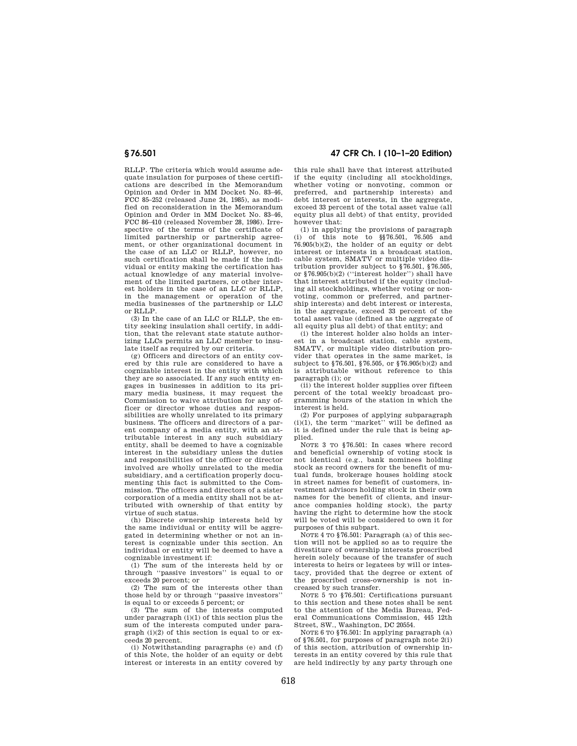RLLP. The criteria which would assume adequate insulation for purposes of these certifications are described in the Memorandum Opinion and Order in MM Docket No. 83–46, FCC 85–252 (released June 24, 1985), as modified on reconsideration in the Memorandum Opinion and Order in MM Docket No. 83–46, FCC 86–410 (released November 28, 1986). Irrespective of the terms of the certificate of limited partnership or partnership agreement, or other organizational document in the case of an LLC or RLLP, however, no such certification shall be made if the individual or entity making the certification has actual knowledge of any material involvement of the limited partners, or other interest holders in the case of an LLC or RLLP, in the management or operation of the media businesses of the partnership or LLC or RLLP.

(3) In the case of an LLC or RLLP, the entity seeking insulation shall certify, in addition, that the relevant state statute authorizing LLCs permits an LLC member to insulate itself as required by our criteria.

(g) Officers and directors of an entity covered by this rule are considered to have a cognizable interest in the entity with which they are so associated. If any such entity engages in businesses in addition to its primary media business, it may request the Commission to waive attribution for any officer or director whose duties and responsibilities are wholly unrelated to its primary business. The officers and directors of a parent company of a media entity, with an attributable interest in any such subsidiary entity, shall be deemed to have a cognizable interest in the subsidiary unless the duties and responsibilities of the officer or director involved are wholly unrelated to the media subsidiary, and a certification properly documenting this fact is submitted to the Commission. The officers and directors of a sister corporation of a media entity shall not be attributed with ownership of that entity by virtue of such status.

(h) Discrete ownership interests held by the same individual or entity will be aggregated in determining whether or not an interest is cognizable under this section. An individual or entity will be deemed to have a cognizable investment if:

(1) The sum of the interests held by or through ''passive investors'' is equal to or exceeds 20 percent; or

(2) The sum of the interests other than those held by or through ''passive investors'' is equal to or exceeds 5 percent; or

(3) The sum of the interests computed under paragraph (i)(1) of this section plus the sum of the interests computed under paragraph (i)(2) of this section is equal to or exceeds 20 percent.

(i) Notwithstanding paragraphs (e) and (f) of this Note, the holder of an equity or debt interest or interests in an entity covered by

**§ 76.501 47 CFR Ch. I (10–1–20 Edition)** 

this rule shall have that interest attributed if the equity (including all stockholdings, whether voting or nonvoting, common or preferred, and partnership interests) and debt interest or interests, in the aggregate. exceed 33 percent of the total asset value (all equity plus all debt) of that entity, provided however that:

(1) in applying the provisions of paragraph (i) of this note to §§76.501, 76.505 and  $76.905(b)(2)$ , the holder of an equity or debt interest or interests in a broadcast station, cable system, SMATV or multiple video distribution provider subject to §76.501, §76.505, or §76.905(b)(2) (''interest holder'') shall have that interest attributed if the equity (including all stockholdings, whether voting or nonvoting, common or preferred, and partnership interests) and debt interest or interests, in the aggregate, exceed 33 percent of the total asset value (defined as the aggregate of all equity plus all debt) of that entity; and

(i) the interest holder also holds an interest in a broadcast station, cable system, SMATV, or multiple video distribution provider that operates in the same market, is subject to §76.501, §76.505, or §76.905(b)(2) and is attributable without reference to this paragraph (i); or

(ii) the interest holder supplies over fifteen percent of the total weekly broadcast programming hours of the station in which the interest is held.

(2) For purposes of applying subparagraph (i)(1), the term ''market'' will be defined as it is defined under the rule that is being applied.

NOTE 3 TO §76.501: In cases where record and beneficial ownership of voting stock is not identical (e.g., bank nominees holding stock as record owners for the benefit of mutual funds, brokerage houses holding stock in street names for benefit of customers, investment advisors holding stock in their own names for the benefit of clients, and insurance companies holding stock), the party having the right to determine how the stock will be voted will be considered to own it for purposes of this subpart.

NOTE 4 TO §76.501: Paragraph (a) of this section will not be applied so as to require the divestiture of ownership interests proscribed herein solely because of the transfer of such interests to heirs or legatees by will or intestacy, provided that the degree or extent of the proscribed cross-ownership is not increased by such transfer.

NOTE 5 TO §76.501: Certifications pursuant to this section and these notes shall be sent to the attention of the Media Bureau, Federal Communications Commission, 445 12th Street, SW., Washington, DC 20554.

NOTE 6 TO §76.501: In applying paragraph (a) of §76.501, for purposes of paragraph note 2(i) of this section, attribution of ownership interests in an entity covered by this rule that are held indirectly by any party through one